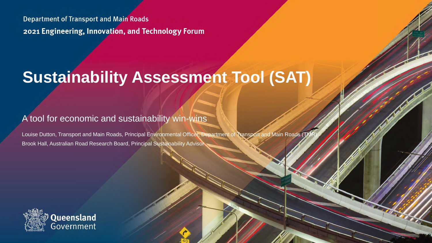**Department of Transport and Main Roads** 2021 Engineering, Innovation, and Technology Forum

# **Sustainability Assessment Tool (SAT)**

#### A tool for economic and sustainability win-wins

Louise Dutton, Transport and Main Roads, Principal Environmental Officer, Department of Transport and Main Roads (TI Brook Hall, Australian Road Research Board, Principal Sustainability Advisor

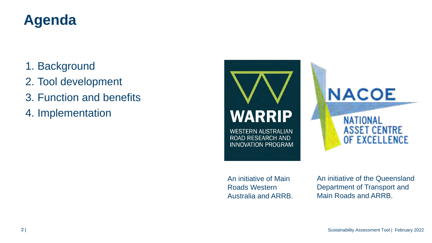### **Agenda**

- 1. Background
- 2. Tool development
- 3. Function and benefits
- 4. Implementation



An initiative of Main Roads Western Australia and ARRB. An initiative of the Queensland Department of Transport and Main Roads and ARRB.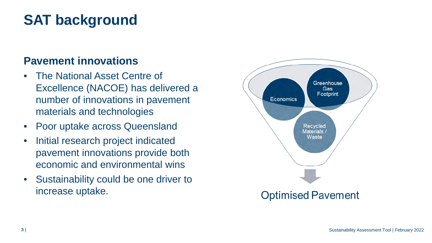## **SAT background**

### **Pavement innovations**

- The National Asset Centre of Excellence (NACOE) has delivered a number of innovations in pavement materials and technologies
- Poor uptake across Queensland
- Initial research project indicated pavement innovations provide both economic and environmental wins
- Sustainability could be one driver to increase uptake.

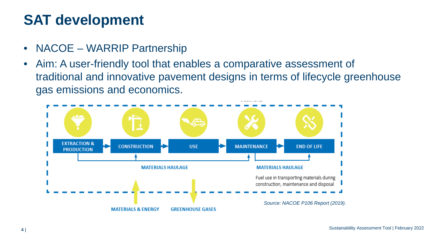### **SAT development**

- NACOE WARRIP Partnership
- Aim: A user-friendly tool that enables a comparative assessment of traditional and innovative pavement designs in terms of lifecycle greenhouse gas emissions and economics.

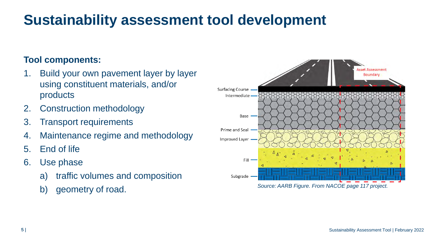### **Sustainability assessment tool development**

### **Tool components:**

- 1. Build your own pavement layer by layer using constituent materials, and/or products
- 2. Construction methodology
- 3. Transport requirements
- 4. Maintenance regime and methodology
- 5. End of life
- 6. Use phase
	- a) traffic volumes and composition
	-

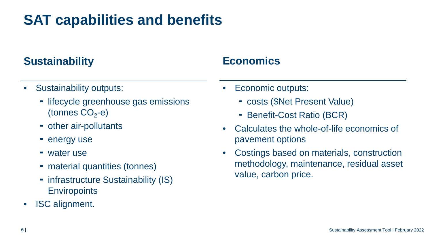### **SAT capabilities and benefits**

### **Sustainability Economics**

- Sustainability outputs:
	- lifecycle greenhouse gas emissions (tonnes  $CO<sub>2</sub>-e$ )
	- other air-pollutants
	- **energy use**
	- water use
	- material quantities (tonnes)
	- infrastructure Sustainability (IS) **Enviropoints**
- ISC alignment.

- Economic outputs:
	- costs (\$Net Present Value)
	- Benefit-Cost Ratio (BCR)
- Calculates the whole-of-life economics of pavement options
- Costings based on materials, construction methodology, maintenance, residual asset value, carbon price.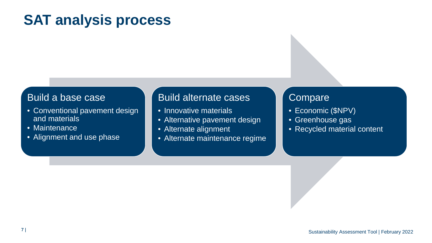### **SAT analysis process**

#### Build a base case

- Conventional pavement design and materials
- Maintenance
- Alignment and use phase

#### Build alternate cases

- Innovative materials
- Alternative pavement design
- Alternate alignment
- Alternate maintenance regime

### **Compare**

- Economic (\$NPV)
- Greenhouse gas
- Recycled material content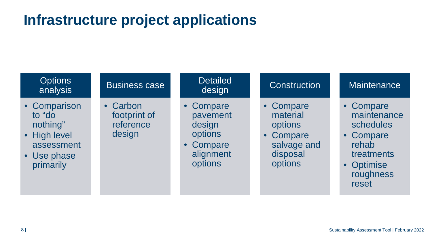### **Infrastructure project applications**

| <b>Options</b><br>analysis                                                                   | <b>Business case</b>                            | <b>Detailed</b><br>design                                                       | Construction                                                                        | <b>Maintenance</b>                                                                                            |
|----------------------------------------------------------------------------------------------|-------------------------------------------------|---------------------------------------------------------------------------------|-------------------------------------------------------------------------------------|---------------------------------------------------------------------------------------------------------------|
| • Comparison<br>to "do<br>nothing"<br>• High level<br>assessment<br>• Use phase<br>primarily | • Carbon<br>footprint of<br>reference<br>design | • Compare<br>pavement<br>design<br>options<br>• Compare<br>alignment<br>options | • Compare<br>material<br>options<br>• Compare<br>salvage and<br>disposal<br>options | • Compare<br>maintenance<br>schedules<br>• Compare<br>rehab<br>treatments<br>• Optimise<br>roughness<br>reset |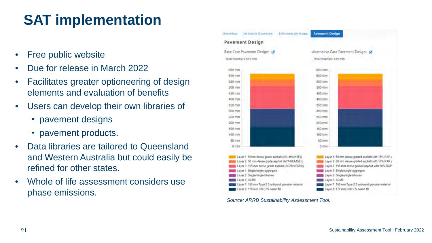# **SAT implementation**

- Free public website
- Due for release in March 2022
- Facilitates greater optioneering of design elements and evaluation of benefits
- Users can develop their own libraries of
	- pavement designs
	- pavement products.
- Data libraries are tailored to Queensland and Western Australia but could easily be refined for other states.
- Whole of life assessment considers use phase emissions.



*Source: ARRB Sustainability Assessment Tool*.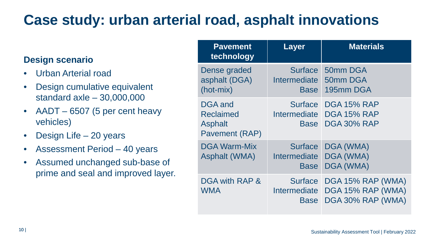### **Case study: urban arterial road, asphalt innovations**

#### **Design scenario**

- Urban Arterial road
- Design cumulative equivalent standard axle – 30,000,000
- AADT 6507 (5 per cent heavy vehicles)
- Design Life 20 years
- Assessment Period 40 years
- Assumed unchanged sub-base of prime and seal and improved layer.

| <b>Pavement</b><br>technology                                   | <b>Layer</b>                                         | <b>Materials</b>                                                   |
|-----------------------------------------------------------------|------------------------------------------------------|--------------------------------------------------------------------|
| Dense graded<br>asphalt (DGA)<br>(hot-mix)                      | <b>Surface</b><br><b>Intermediate</b><br>Base        | 50mm DGA<br>50mm DGA<br>195mm DGA                                  |
| DGA and<br><b>Reclaimed</b><br><b>Asphalt</b><br>Pavement (RAP) | <b>Surface</b><br><b>Intermediate</b><br><b>Base</b> | <b>DGA 15% RAP</b><br><b>DGA 15% RAP</b><br><b>DGA 30% RAP</b>     |
| <b>DGA Warm-Mix</b><br><b>Asphalt (WMA)</b>                     | <b>Surface</b><br>Intermediate<br><b>Base</b>        | DGA (WMA)<br><b>DGA (WMA)</b><br>DGA (WMA)                         |
| DGA with RAP &<br><b>WMA</b>                                    | <b>Surface</b><br>Intermediate<br><b>Base</b>        | DGA 15% RAP (WMA)<br><b>DGA 15% RAP (WMA)</b><br>DGA 30% RAP (WMA) |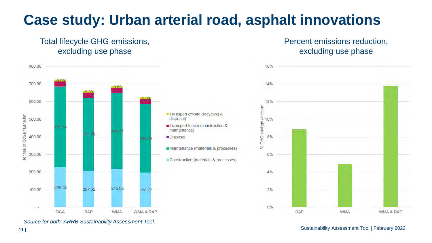### **Case study: Urban arterial road, asphalt innovations**

#### Total lifecycle GHG emissions, excluding use phase



*Source for both: ARRB Sustainability Assessment Tool.*

#### Percent emissions reduction, excluding use phase

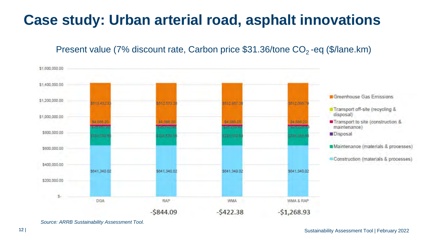### **Case study: Urban arterial road, asphalt innovations**

#### Present value (7% discount rate, Carbon price  $$31.36$ /tone  $CO<sub>2</sub>$ -eq (\$/lane.km)



*Source: ARRB Sustainability Assessment Tool.*